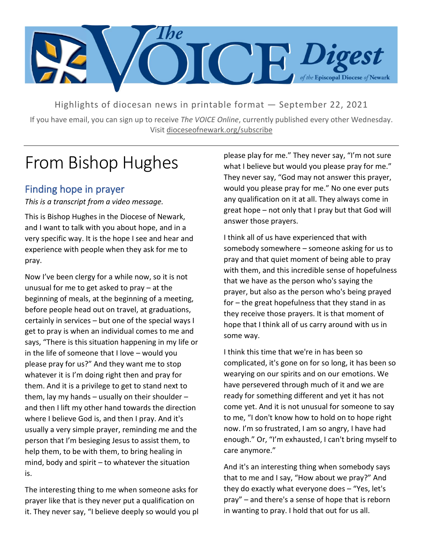

Highlights of diocesan news in printable format — September 22, 2021

If you have email, you can sign up to receive *The VOICE Online*, currently published every other Wednesday. Visit dioceseofnewark.org/subscribe

# From Bishop Hughes

### Finding hope in prayer

*This is a transcript from a video message.*

This is Bishop Hughes in the Diocese of Newark, and I want to talk with you about hope, and in a very specific way. It is the hope I see and hear and experience with people when they ask for me to pray.

Now I've been clergy for a while now, so it is not unusual for me to get asked to pray – at the beginning of meals, at the beginning of a meeting, before people head out on travel, at graduations, certainly in services – but one of the special ways I get to pray is when an individual comes to me and says, "There is this situation happening in my life or in the life of someone that I love – would you please pray for us?" And they want me to stop whatever it is I'm doing right then and pray for them. And it is a privilege to get to stand next to them, lay my hands – usually on their shoulder – and then I lift my other hand towards the direction where I believe God is, and then I pray. And it's usually a very simple prayer, reminding me and the person that I'm besieging Jesus to assist them, to help them, to be with them, to bring healing in mind, body and spirit – to whatever the situation is.

The interesting thing to me when someone asks for prayer like that is they never put a qualification on it. They never say, "I believe deeply so would you pl please play for me." They never say, "I'm not sure what I believe but would you please pray for me." They never say, "God may not answer this prayer, would you please pray for me." No one ever puts any qualification on it at all. They always come in great hope – not only that I pray but that God will answer those prayers.

I think all of us have experienced that with somebody somewhere – someone asking for us to pray and that quiet moment of being able to pray with them, and this incredible sense of hopefulness that we have as the person who's saying the prayer, but also as the person who's being prayed for – the great hopefulness that they stand in as they receive those prayers. It is that moment of hope that I think all of us carry around with us in some way.

I think this time that we're in has been so complicated, it's gone on for so long, it has been so wearying on our spirits and on our emotions. We have persevered through much of it and we are ready for something different and yet it has not come yet. And it is not unusual for someone to say to me, "I don't know how to hold on to hope right now. I'm so frustrated, I am so angry, I have had enough." Or, "I'm exhausted, I can't bring myself to care anymore."

And it's an interesting thing when somebody says that to me and I say, "How about we pray?" And they do exactly what everyone does – "Yes, let's pray" – and there's a sense of hope that is reborn in wanting to pray. I hold that out for us all.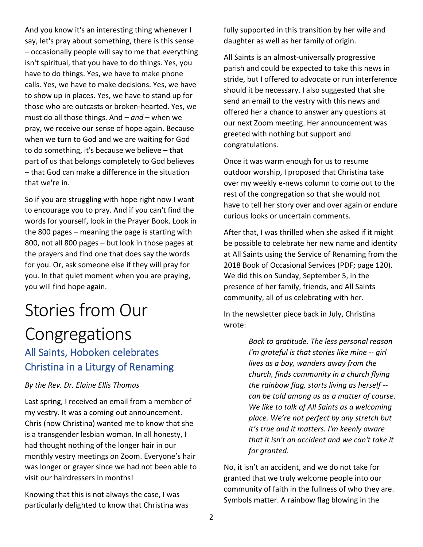And you know it's an interesting thing whenever I say, let's pray about something, there is this sense – occasionally people will say to me that everything isn't spiritual, that you have to do things. Yes, you have to do things. Yes, we have to make phone calls. Yes, we have to make decisions. Yes, we have to show up in places. Yes, we have to stand up for those who are outcasts or broken-hearted. Yes, we must do all those things. And – *and* – when we pray, we receive our sense of hope again. Because when we turn to God and we are waiting for God to do something, it's because we believe – that part of us that belongs completely to God believes – that God can make a difference in the situation that we're in.

So if you are struggling with hope right now I want to encourage you to pray. And if you can't find the words for yourself, look in the Prayer Book. Look in the 800 pages – meaning the page is starting with 800, not all 800 pages – but look in those pages at the prayers and find one that does say the words for you. Or, ask someone else if they will pray for you. In that quiet moment when you are praying, you will find hope again.

## Stories from Our Congregations All Saints, Hoboken celebrates Christina in a Liturgy of Renaming

#### *By the Rev. Dr. Elaine Ellis Thomas*

Last spring, I received an email from a member of my vestry. It was a coming out announcement. Chris (now Christina) wanted me to know that she is a transgender lesbian woman. In all honesty, I had thought nothing of the longer hair in our monthly vestry meetings on Zoom. Everyone's hair was longer or grayer since we had not been able to visit our hairdressers in months!

Knowing that this is not always the case, I was particularly delighted to know that Christina was fully supported in this transition by her wife and daughter as well as her family of origin.

All Saints is an almost-universally progressive parish and could be expected to take this news in stride, but I offered to advocate or run interference should it be necessary. I also suggested that she send an email to the vestry with this news and offered her a chance to answer any questions at our next Zoom meeting. Her announcement was greeted with nothing but support and congratulations.

Once it was warm enough for us to resume outdoor worship, I proposed that Christina take over my weekly e-news column to come out to the rest of the congregation so that she would not have to tell her story over and over again or endure curious looks or uncertain comments.

After that, I was thrilled when she asked if it might be possible to celebrate her new name and identity at All Saints using the Service of Renaming from the 2018 Book of Occasional Services (PDF; page 120). We did this on Sunday, September 5, in the presence of her family, friends, and All Saints community, all of us celebrating with her.

In the newsletter piece back in July, Christina wrote:

> *Back to gratitude. The less personal reason I'm grateful is that stories like mine -- girl lives as a boy, wanders away from the church, finds community in a church flying the rainbow flag, starts living as herself - can be told among us as a matter of course. We like to talk of All Saints as a welcoming place. We're not perfect by any stretch but it's true and it matters. I'm keenly aware that it isn't an accident and we can't take it for granted.*

No, it isn't an accident, and we do not take for granted that we truly welcome people into our community of faith in the fullness of who they are. Symbols matter. A rainbow flag blowing in the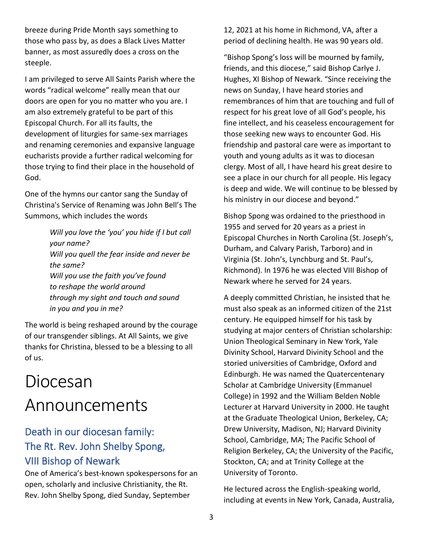breeze during Pride Month says something to those who pass by, as does a Black Lives Matter banner, as most assuredly does a cross on the steeple.

I am privileged to serve All Saints Parish where the words "radical welcome" really mean that our doors are open for you no matter who you are. I am also extremely grateful to be part of this Episcopal Church. For all its faults, the development of liturgies for same-sex marriages and renaming ceremonies and expansive language eucharists provide a further radical welcoming for those trying to find their place in the household of God.

One of the hymns our cantor sang the Sunday of Christina's Service of Renaming was John Bell's The Summons, which includes the words

> *Will you love the 'you' you hide if I but call your name? Will you quell the fear inside and never be the same? Will you use the faith you've found to reshape the world around through my sight and touch and sound in you and you in me?*

The world is being reshaped around by the courage of our transgender siblings. At All Saints, we give thanks for Christina, blessed to be a blessing to all of us.

## Diocesan Announcements

### Death in our diocesan family: The Rt. Rev. John Shelby Spong, VIII Bishop of Newark

One of America's best-known spokespersons for an open, scholarly and inclusive Christianity, the Rt. Rev. John Shelby Spong, died Sunday, September

12, 2021 at his home in Richmond, VA, after a period of declining health. He was 90 years old.

"Bishop Spong's loss will be mourned by family, friends, and this diocese," said Bishop Carlye J. Hughes, XI Bishop of Newark. "Since receiving the news on Sunday, I have heard stories and remembrances of him that are touching and full of respect for his great love of all God's people, his fine intellect, and his ceaseless encouragement for those seeking new ways to encounter God. His friendship and pastoral care were as important to youth and young adults as it was to diocesan clergy. Most of all, I have heard his great desire to see a place in our church for all people. His legacy is deep and wide. We will continue to be blessed by his ministry in our diocese and beyond."

Bishop Spong was ordained to the priesthood in 1955 and served for 20 years as a priest in Episcopal Churches in North Carolina (St. Joseph's, Durham, and Calvary Parish, Tarboro) and in Virginia (St. John's, Lynchburg and St. Paul's, Richmond). In 1976 he was elected VIII Bishop of Newark where he served for 24 years.

A deeply committed Christian, he insisted that he must also speak as an informed citizen of the 21st century. He equipped himself for his task by studying at major centers of Christian scholarship: Union Theological Seminary in New York, Yale Divinity School, Harvard Divinity School and the storied universities of Cambridge, Oxford and Edinburgh. He was named the Quatercentenary Scholar at Cambridge University (Emmanuel College) in 1992 and the William Belden Noble Lecturer at Harvard University in 2000. He taught at the Graduate Theological Union, Berkeley, CA; Drew University, Madison, NJ; Harvard Divinity School, Cambridge, MA; The Pacific School of Religion Berkeley, CA; the University of the Pacific, Stockton, CA; and at Trinity College at the University of Toronto.

He lectured across the English-speaking world, including at events in New York, Canada, Australia,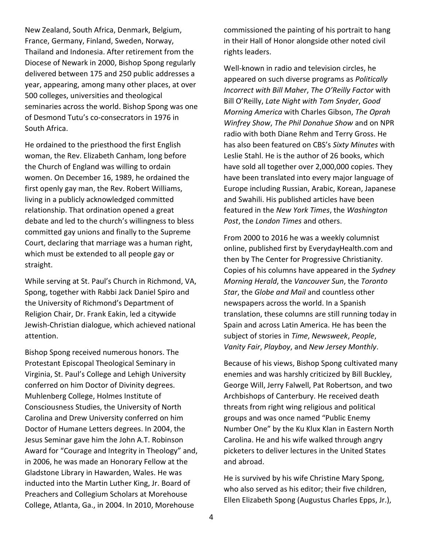New Zealand, South Africa, Denmark, Belgium, France, Germany, Finland, Sweden, Norway, Thailand and Indonesia. After retirement from the Diocese of Newark in 2000, Bishop Spong regularly delivered between 175 and 250 public addresses a year, appearing, among many other places, at over 500 colleges, universities and theological seminaries across the world. Bishop Spong was one of Desmond Tutu's co-consecrators in 1976 in South Africa.

He ordained to the priesthood the first English woman, the Rev. Elizabeth Canham, long before the Church of England was willing to ordain women. On December 16, 1989, he ordained the first openly gay man, the Rev. Robert Williams, living in a publicly acknowledged committed relationship. That ordination opened a great debate and led to the church's willingness to bless committed gay unions and finally to the Supreme Court, declaring that marriage was a human right, which must be extended to all people gay or straight.

While serving at St. Paul's Church in Richmond, VA, Spong, together with Rabbi Jack Daniel Spiro and the University of Richmond's Department of Religion Chair, Dr. Frank Eakin, led a citywide Jewish-Christian dialogue, which achieved national attention.

Bishop Spong received numerous honors. The Protestant Episcopal Theological Seminary in Virginia, St. Paul's College and Lehigh University conferred on him Doctor of Divinity degrees. Muhlenberg College, Holmes Institute of Consciousness Studies, the University of North Carolina and Drew University conferred on him Doctor of Humane Letters degrees. In 2004, the Jesus Seminar gave him the John A.T. Robinson Award for "Courage and Integrity in Theology" and, in 2006, he was made an Honorary Fellow at the Gladstone Library in Hawarden, Wales. He was inducted into the Martin Luther King, Jr. Board of Preachers and Collegium Scholars at Morehouse College, Atlanta, Ga., in 2004. In 2010, Morehouse

commissioned the painting of his portrait to hang in their Hall of Honor alongside other noted civil rights leaders.

Well-known in radio and television circles, he appeared on such diverse programs as *Politically Incorrect with Bill Maher*, *The O'Reilly Factor* with Bill O'Reilly, *Late Night with Tom Snyder*, *Good Morning America* with Charles Gibson, *The Oprah Winfrey Show*, *The Phil Donahue Show* and on NPR radio with both Diane Rehm and Terry Gross. He has also been featured on CBS's *Sixty Minutes* with Leslie Stahl. He is the author of 26 books, which have sold all together over 2,000,000 copies. They have been translated into every major language of Europe including Russian, Arabic, Korean, Japanese and Swahili. His published articles have been featured in the *New York Times*, the *Washington Post*, the *London Times* and others.

From 2000 to 2016 he was a weekly columnist online, published first by EverydayHealth.com and then by The Center for Progressive Christianity. Copies of his columns have appeared in the *Sydney Morning Herald*, the *Vancouver Sun*, the *Toronto Star*, the *Globe and Mail* and countless other newspapers across the world. In a Spanish translation, these columns are still running today in Spain and across Latin America. He has been the subject of stories in *Time*, *Newsweek*, *People*, *Vanity Fair*, *Playboy*, and *New Jersey Monthly*.

Because of his views, Bishop Spong cultivated many enemies and was harshly criticized by Bill Buckley, George Will, Jerry Falwell, Pat Robertson, and two Archbishops of Canterbury. He received death threats from right wing religious and political groups and was once named "Public Enemy Number One" by the Ku Klux Klan in Eastern North Carolina. He and his wife walked through angry picketers to deliver lectures in the United States and abroad.

He is survived by his wife Christine Mary Spong, who also served as his editor; their five children, Ellen Elizabeth Spong (Augustus Charles Epps, Jr.),